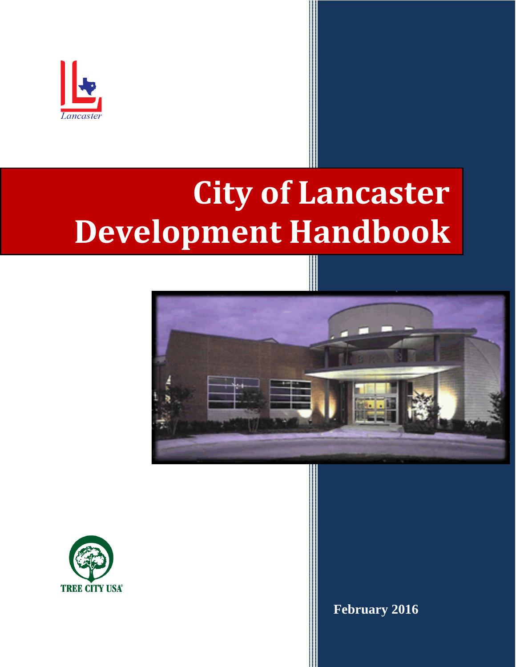

## **City of Lancaster Development Handbook**





**February 2016**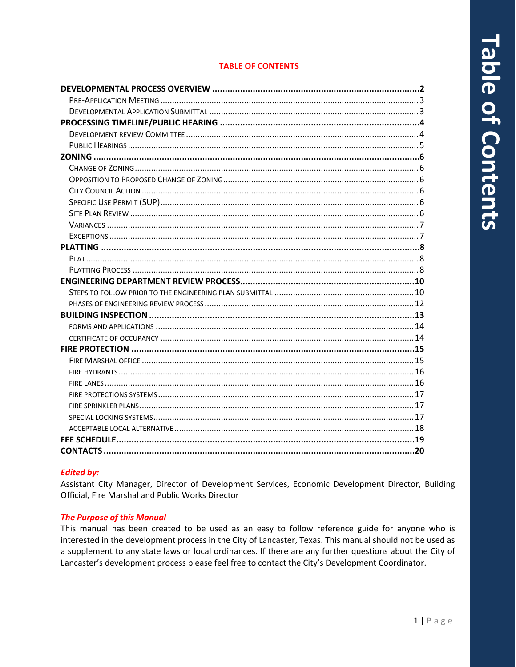## *<u>Lable of Contents</u>*

### **TABLE OF CONTENTS**

### **Edited by:**

Assistant City Manager, Director of Development Services, Economic Development Director, Building Official, Fire Marshal and Public Works Director

### **The Purpose of this Manual**

This manual has been created to be used as an easy to follow reference guide for anyone who is interested in the development process in the City of Lancaster, Texas. This manual should not be used as a supplement to any state laws or local ordinances. If there are any further questions about the City of Lancaster's development process please feel free to contact the City's Development Coordinator.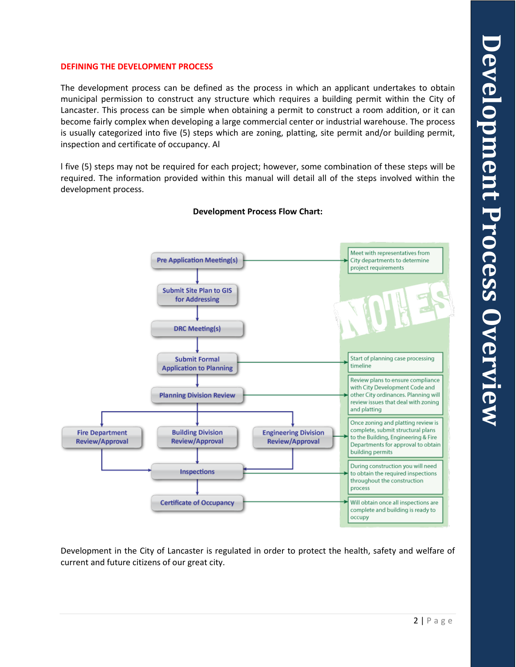### **DEFINING THE DEVELOPMENT PROCESS**

The development process can be defined as the process in which an applicant undertakes to obtain municipal permission to construct any structure which requires a building permit within the City of Lancaster. This process can be simple when obtaining a permit to construct a room addition, or it can become fairly complex when developing a large commercial center or industrial warehouse. The process is usually categorized into five (5) steps which are zoning, platting, site permit and/or building permit, inspection and certificate of occupancy. Al

l five (5) steps may not be required for each project; however, some combination of these steps will be required. The information provided within this manual will detail all of the steps involved within the development process.



### **Development Process Flow Chart:**

Development in the City of Lancaster is regulated in order to protect the health, safety and welfare of current and future citizens of our great city.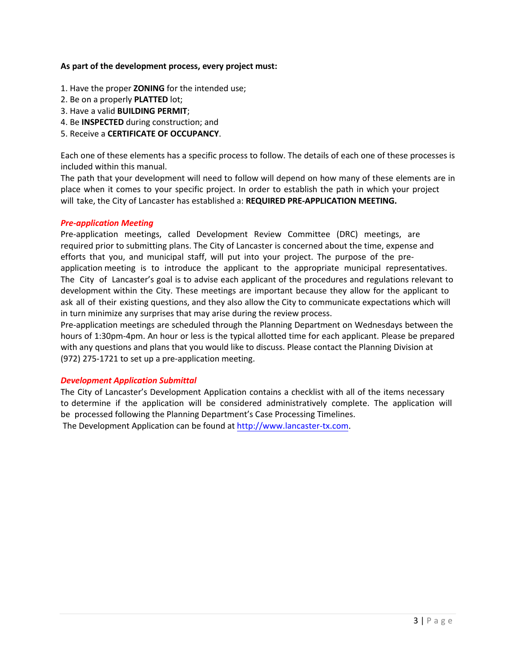### **As part of the development process, every project must:**

- 1. Have the proper **ZONING** for the intended use;
- 2. Be on a properly **PLATTED** lot;
- 3. Have a valid **BUILDING PERMIT**;
- 4. Be **INSPECTED** during construction; and
- 5. Receive a **CERTIFICATE OF OCCUPANCY**.

Each one of these elements has a specific process to follow. The details of each one of these processes is included within this manual.

The path that your development will need to follow will depend on how many of these elements are in place when it comes to your specific project. In order to establish the path in which your project will take, the City of Lancaster has established a: **REQUIRED PRE-APPLICATION MEETING.**

### *Pre-application Meeting*

Pre-application meetings, called Development Review Committee (DRC) meetings, are required prior to submitting plans. The City of Lancaster is concerned about the time, expense and efforts that you, and municipal staff, will put into your project. The purpose of the preapplication meeting is to introduce the applicant to the appropriate municipal representatives. The City of Lancaster's goal is to advise each applicant of the procedures and regulations relevant to development within the City. These meetings are important because they allow for the applicant to ask all of their existing questions, and they also allow the City to communicate expectations which will in turn minimize any surprises that may arise during the review process.

Pre-application meetings are scheduled through the Planning Department on Wednesdays between the hours of 1:30pm-4pm. An hour or less is the typical allotted time for each applicant. Please be prepared with any questions and plans that you would like to discuss. Please contact the Planning Division at (972) 275-1721 to set up a pre-application meeting.

### *Development Application Submittal*

The City of Lancaster's Development Application contains a checklist with all of the items necessary to determine if the application will be considered administratively complete. The application will be processed following the Planning Department's Case Processing Timelines.

The Development Application can be found at [http://www.lancaster-tx.com](http://www.lancaster-tx.com/).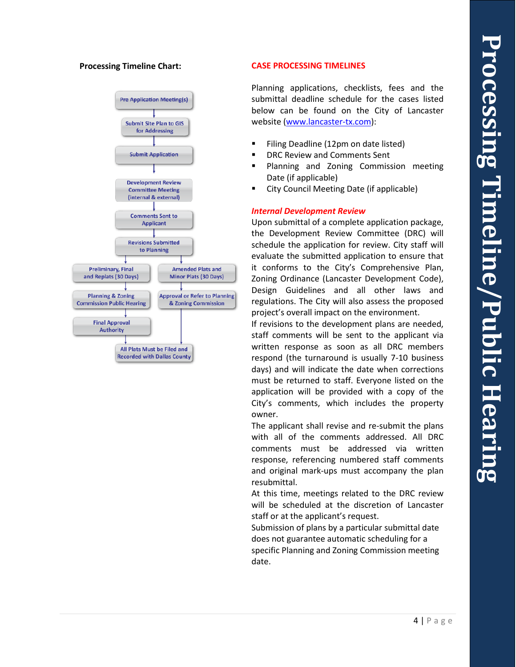

### **Processing Timeline Chart: CASE PROCESSING TIMELINES**

Planning applications, checklists, fees and the submittal deadline schedule for the cases listed below can be found on the City of Lancaster website [\(www.lancaster](http://www.lancaster-tx.com/)-tx.com):

- Filing Deadline (12pm on date listed)
- DRC Review and Comments Sent
- Planning and Zoning Commission meeting Date (if applicable)
- City Council Meeting Date (if applicable)

### *Internal Development Review*

Upon submittal of a complete application package, the Development Review Committee (DRC) will schedule the application for review. City staff will evaluate the submitted application to ensure that it conforms to the City's Comprehensive Plan, Zoning Ordinance (Lancaster Development Code), Design Guidelines and all other laws and regulations. The City will also assess the proposed project's overall impact on the environment.

If revisions to the development plans are needed, staff comments will be sent to the applicant via written response as soon as all DRC members respond (the turnaround is usually 7 -10 business days) and will indicate the date when corrections must be returned to staff. Everyone listed on the application will be provided with a copy of the City's comments, which includes the property owner.

The applicant shall revise and re -submit the plans with all of the comments addressed. All DRC comments must be addressed via written response, referencing numbered staff comments and original mark -ups must accompany the plan resubmittal.

At this time, meetings related to the DRC review will be scheduled at the discretion of Lancaster staff or at the applicant's request.

Submission of plans by a particular submittal date does not guarantee automatic scheduling for a specific Planning and Zoning Commission meeting date.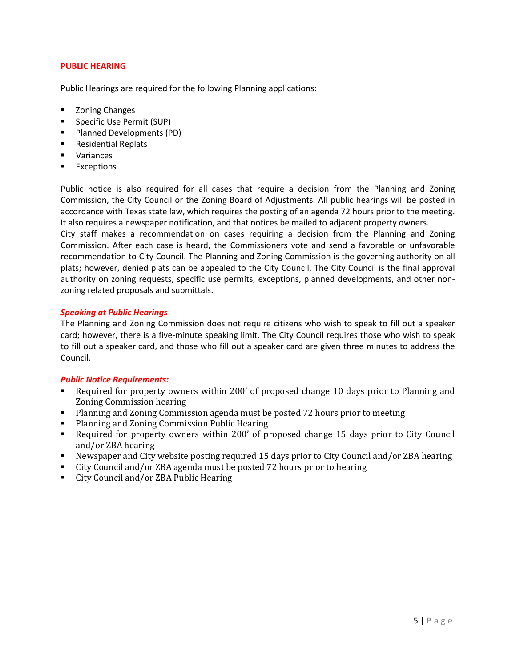### **PUBLIC HEARING**

Public Hearings are required for the following Planning applications:

- Zoning Changes
- **Specific Use Permit (SUP)**
- **Planned Developments (PD)**
- **Residential Replats**
- **variances**
- **Exceptions**

Public notice is also required for all cases that require a decision from the Planning and Zoning Commission, the City Council or the Zoning Board of Adjustments. All public hearings will be posted in accordance with Texas state law, which requires the posting of an agenda 72 hours prior to the meeting. It also requires a newspaper notification, and that notices be mailed to adjacent property owners.

City staff makes a recommendation on cases requiring a decision from the Planning and Zoning Commission. After each case is heard, the Commissioners vote and send a favorable or unfavorable recommendation to City Council. The Planning and Zoning Commission is the governing authority on all plats; however, denied plats can be appealed to the City Council. The City Council is the final approval authority on zoning requests, specific use permits, exceptions, planned developments, and other nonzoning related proposals and submittals.

### *Speaking at Public Hearings*

The Planning and Zoning Commission does not require citizens who wish to speak to fill out a speaker card; however, there is a five-minute speaking limit. The City Council requires those who wish to speak to fill out a speaker card, and those who fill out a speaker card are given three minutes to address the Council.

### *Public Notice Requirements:*

- Required for property owners within 200' of proposed change 10 days prior to Planning and Zoning Commission hearing
- Planning and Zoning Commission agenda must be posted 72 hours prior to meeting
- **Planning and Zoning Commission Public Hearing**
- Required for property owners within 200' of proposed change 15 days prior to City Council and/or ZBA hearing
- Newspaper and City website posting required 15 days prior to City Council and/or ZBA hearing
- City Council and/or ZBA agenda must be posted 72 hours prior to hearing<br>■ City Council and/or ZBA Public Hearing
- City Council and/or ZBA Public Hearing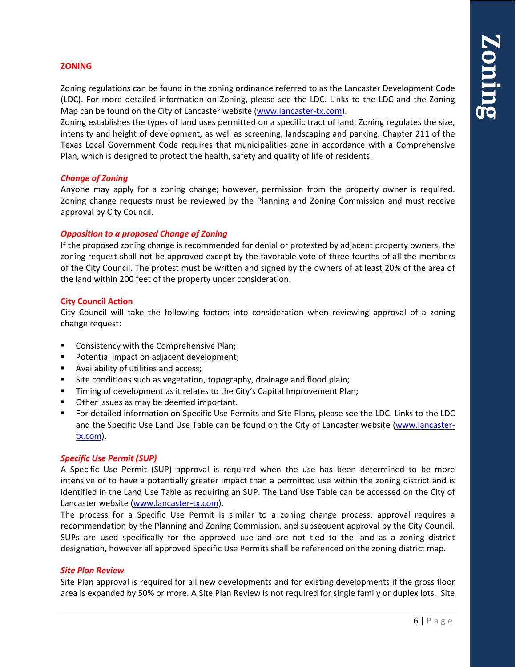### **ZONING**

Zoning regulations can be found in the zoning ordinance referred to as the Lancaster Development Code (LDC). For more detailed information on Zoning, please see the LDC. Links to the LDC and the Zoning Map can be found on the City of Lancaster website [\(www.lancaster-tx.com\)](http://www.lancaster-tx.com/).

Zoning establishes the types of land uses permitted on a specific tract of land. Zoning regulates the size, intensity and height of development, as well as screening, landscaping and parking. Chapter 211 of the Texas Local Government Code requires that municipalities zone in accordance with a Comprehensive Plan, which is designed to protect the health, safety and quality of life of residents.

### *Change of Zoning*

Anyone may apply for a zoning change; however, permission from the property owner is required. Zoning change requests must be reviewed by the Planning and Zoning Commission and must receive approval by City Council.

### *Opposition to a proposed Change of Zoning*

If the proposed zoning change is recommended for denial or protested by adjacent property owners, the zoning request shall not be approved except by the favorable vote of three-fourths of all the members of the City Council. The protest must be written and signed by the owners of at least 20% of the area of the land within 200 feet of the property under consideration.

### **City Council Action**

City Council will take the following factors into consideration when reviewing approval of a zoning change request:

- **EXECONS** Consistency with the Comprehensive Plan;
- **Potential impact on adjacent development;**
- **Availability of utilities and access;**
- Site conditions such as vegetation, topography, drainage and flood plain;
- **Timing of development as it relates to the City's Capital Improvement Plan;**
- **Other issues as may be deemed important.**
- For detailed information on Specific Use Permits and Site Plans, please see the LDC. Links to the LDC and the Specific Use Land Use Table can be found on the City of Lancaster website [\(www.lancaster](http://www.lancaster-tx.com/)[tx.com\)](http://www.lancaster-tx.com/).

### *Specific Use Permit (SUP)*

A Specific Use Permit (SUP) approval is required when the use has been determined to be more intensive or to have a potentially greater impact than a permitted use within the zoning district and is identified in the Land Use Table as requiring an SUP. The Land Use Table can be accessed on the City of Lancaster website [\(www.lancaster-tx.com\)](http://www.lancaster-tx.com/).

The process for a Specific Use Permit is similar to a zoning change process; approval requires a recommendation by the Planning and Zoning Commission, and subsequent approval by the City Council. SUPs are used specifically for the approved use and are not tied to the land as a zoning district designation, however all approved Specific Use Permits shall be referenced on the zoning district map.

### *Site Plan Review*

Site Plan approval is required for all new developments and for existing developments if the gross floor area is expanded by 50% or more. A Site Plan Review is not required for single family or duplex lots. Site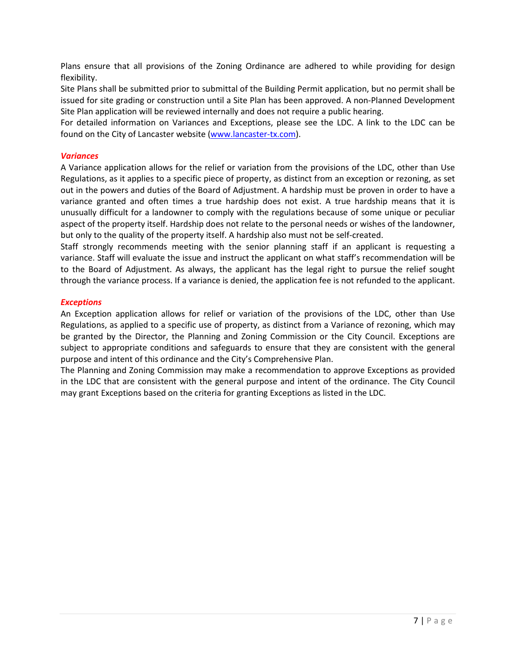Plans ensure that all provisions of the Zoning Ordinance are adhered to while providing for design flexibility.

Site Plans shall be submitted prior to submittal of the Building Permit application, but no permit shall be issued for site grading or construction until a Site Plan has been approved. A non-Planned Development Site Plan application will be reviewed internally and does not require a public hearing.

For detailed information on Variances and Exceptions, please see the LDC. A link to the LDC can be found on the City of Lancaster website [\(www.lancaster-tx.com\)](http://www.lancaster-tx.com/).

### *Variances*

A Variance application allows for the relief or variation from the provisions of the LDC, other than Use Regulations, as it applies to a specific piece of property, as distinct from an exception or rezoning, as set out in the powers and duties of the Board of Adjustment. A hardship must be proven in order to have a variance granted and often times a true hardship does not exist. A true hardship means that it is unusually difficult for a landowner to comply with the regulations because of some unique or peculiar aspect of the property itself. Hardship does not relate to the personal needs or wishes of the landowner, but only to the quality of the property itself. A hardship also must not be self-created.

Staff strongly recommends meeting with the senior planning staff if an applicant is requesting a variance. Staff will evaluate the issue and instruct the applicant on what staff's recommendation will be to the Board of Adjustment. As always, the applicant has the legal right to pursue the relief sought through the variance process. If a variance is denied, the application fee is not refunded to the applicant.

### *Exceptions*

An Exception application allows for relief or variation of the provisions of the LDC, other than Use Regulations, as applied to a specific use of property, as distinct from a Variance of rezoning, which may be granted by the Director, the Planning and Zoning Commission or the City Council. Exceptions are subject to appropriate conditions and safeguards to ensure that they are consistent with the general purpose and intent of this ordinance and the City's Comprehensive Plan.

The Planning and Zoning Commission may make a recommendation to approve Exceptions as provided in the LDC that are consistent with the general purpose and intent of the ordinance. The City Council may grant Exceptions based on the criteria for granting Exceptions as listed in the LDC.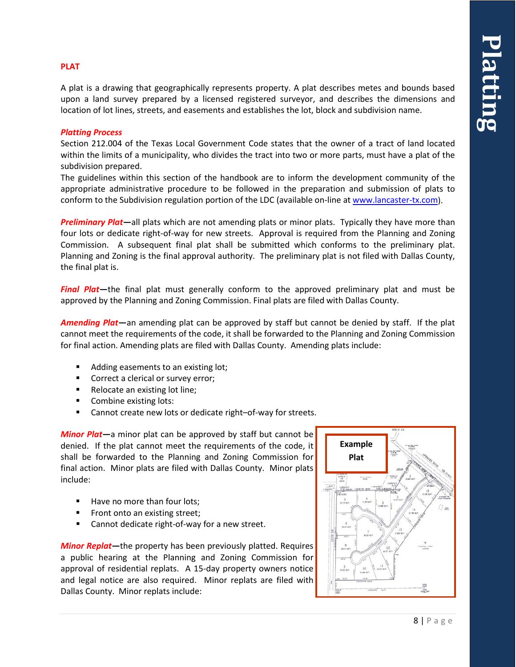### **PLAT**

A plat is a drawing that geographically represents property. A plat describes metes and bounds based upon a land survey prepared by a licensed registered surveyor, and describes the dimensions and location of lot lines, streets, and easements and establishes the lot, block and subdivision name.

### *Platting Process*

Section 212.004 of the Texas Local Government Code states that the owner of a tract of land located within the limits of a municipality, who divides the tract into two or more parts, must have a plat of the subdivision prepared.

The guidelines within this section of the handbook are to inform the development community of the appropriate administrative procedure to be followed in the preparation and submission of plats to conform to the Subdivision regulation portion of the LDC (available on-line a[t www.lancaster-tx.com\)](http://www.lancaster-tx.com/).

*Preliminary Plat***—**all plats which are not amending plats or minor plats. Typically they have more than four lots or dedicate right-of-way for new streets. Approval is required from the Planning and Zoning Commission. A subsequent final plat shall be submitted which conforms to the preliminary plat. Planning and Zoning is the final approval authority. The preliminary plat is not filed with Dallas County, the final plat is.

**Final Plat**—the final plat must generally conform to the approved preliminary plat and must be approved by the Planning and Zoning Commission. Final plats are filed with Dallas County.

*Amending Plat***—**an amending plat can be approved by staff but cannot be denied by staff. If the plat cannot meet the requirements of the code, it shall be forwarded to the Planning and Zoning Commission for final action. Amending plats are filed with Dallas County. Amending plats include:

- Adding easements to an existing lot;
- **Correct a clerical or survey error;**
- Relocate an existing lot line;
- Combine existing lots:
- Cannot create new lots or dedicate right–of-way for streets.

*Minor Plat***—**a minor plat can be approved by staff but cannot be denied. If the plat cannot meet the requirements of the code, it shall be forwarded to the Planning and Zoning Commission for final action. Minor plats are filed with Dallas County. Minor plats include:

- Have no more than four lots:
- Front onto an existing street;
- Cannot dedicate right-of-way for a new street.

*Minor Replat***—**the property has been previously platted. Requires a public hearing at the Planning and Zoning Commission for approval of residential replats. A 15-day property owners notice and legal notice are also required. Minor replats are filed with Dallas County. Minor replats include:

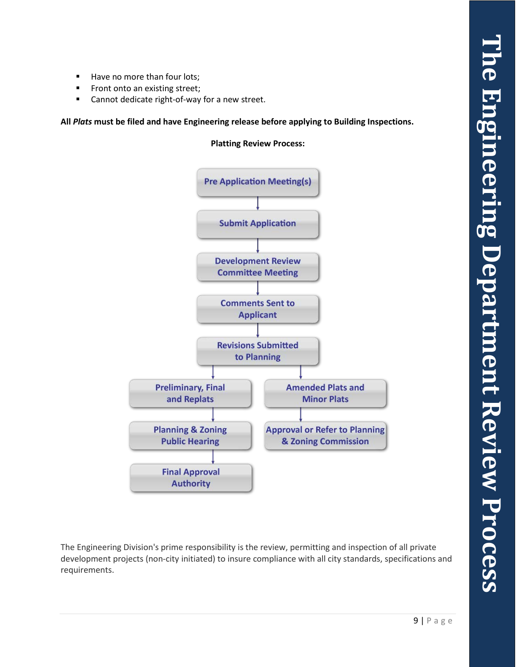- Have no more than four lots;
- **Front onto an existing street;**
- Cannot dedicate right-of-way for a new street.

**All** *Plats* **must be filed and have Engineering release before applying to Building Inspections.**

**Platting Review Process:**



The Engineering Division's prime responsibility is the review, permitting and inspection of all private development projects (non-city initiated) to insure compliance with all city standards, specifications and requirements.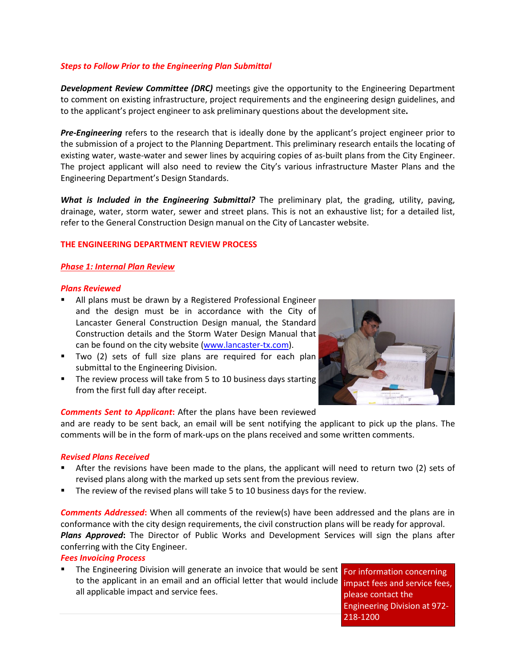### *Steps to Follow Prior to the Engineering Plan Submittal*

*Development Review Committee (DRC)* meetings give the opportunity to the Engineering Department to comment on existing infrastructure, project requirements and the engineering design guidelines, and to the applicant's project engineer to ask preliminary questions about the development site**.**

*Pre-Engineering* refers to the research that is ideally done by the applicant's project engineer prior to the submission of a project to the Planning Department. This preliminary research entails the locating of existing water, waste-water and sewer lines by acquiring copies of as-built plans from the City Engineer. The project applicant will also need to review the City's various infrastructure Master Plans and the Engineering Department's Design Standards.

*What is Included in the Engineering Submittal?* The preliminary plat, the grading, utility, paving, drainage, water, storm water, sewer and street plans. This is not an exhaustive list; for a detailed list, refer to the General Construction Design manual on the City of Lancaster website.

### **THE ENGINEERING DEPARTMENT REVIEW PROCESS**

### *Phase 1: Internal Plan Review*

### *Plans Reviewed*

- All plans must be drawn by a Registered Professional Engineer and the design must be in accordance with the City of Lancaster General Construction Design manual, the Standard Construction details and the Storm Water Design Manual that can be found on the city website [\(www.lancaster-tx.com\)](http://www.lancaster-tx.com/).
- Two (2) sets of full size plans are required for each plan submittal to the Engineering Division.
- The review process will take from 5 to 10 business days starting from the first full day after receipt.



### *Comments Sent to Applicant***:** After the plans have been reviewed

and are ready to be sent back, an email will be sent notifying the applicant to pick up the plans. The comments will be in the form of mark-ups on the plans received and some written comments.

### *Revised Plans Received*

- After the revisions have been made to the plans, the applicant will need to return two (2) sets of revised plans along with the marked up sets sent from the previous review.
- The review of the revised plans will take 5 to 10 business days for the review.

*Comments Addressed***:** When all comments of the review(s) have been addressed and the plans are in conformance with the city design requirements, the civil construction plans will be ready for approval. *Plans Approved***:** The Director of Public Works and Development Services will sign the plans after conferring with the City Engineer.

### *Fees Invoicing Process*

 The Engineering Division will generate an invoice that would be sent to the applicant in an email and an official letter that would include all applicable impact and service fees.

For information concerning impact fees and service fees, please contact the Engineering Division at 972- 218-1200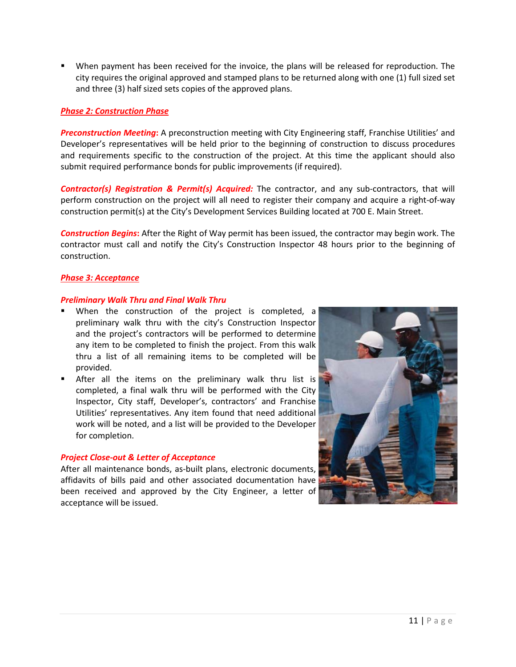When payment has been received for the invoice, the plans will be released for reproduction. The city requires the original approved and stamped plans to be returned along with one (1) full sized set and three (3) half sized sets copies of the approved plans.

### *Phase 2: Construction Phase*

*Preconstruction Meeting***:** A preconstruction meeting with City Engineering staff, Franchise Utilities' and Developer's representatives will be held prior to the beginning of construction to discuss procedures and requirements specific to the construction of the project. At this time the applicant should also submit required performance bonds for public improvements (if required).

*Contractor(s) Registration & Permit(s) Acquired:* The contractor, and any sub-contractors, that will perform construction on the project will all need to register their company and acquire a right-of-way construction permit(s) at the City's Development Services Building located at 700 E. Main Street.

*Construction Begins***:** After the Right of Way permit has been issued, the contractor may begin work. The contractor must call and notify the City's Construction Inspector 48 hours prior to the beginning of construction.

### *Phase 3: Acceptance*

### *Preliminary Walk Thru and Final Walk Thru*

- When the construction of the project is completed, a preliminary walk thru with the city's Construction Inspector and the project's contractors will be performed to determine any item to be completed to finish the project. From this walk thru a list of all remaining items to be completed will be provided.
- **E** After all the items on the preliminary walk thru list is completed, a final walk thru will be performed with the City Inspector, City staff, Developer's, contractors' and Franchise Utilities' representatives. Any item found that need additional work will be noted, and a list will be provided to the Developer for completion.

### *Project Close-out & Letter of Acceptance*

After all maintenance bonds, as-built plans, electronic documents, affidavits of bills paid and other associated documentation have been received and approved by the City Engineer, a letter of acceptance will be issued.

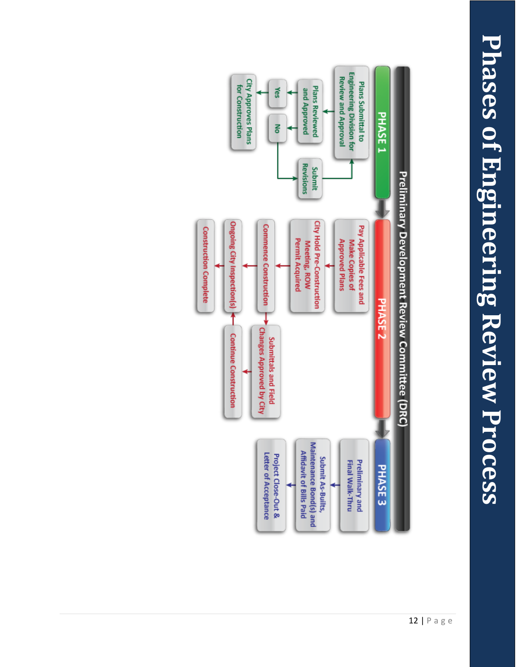# Phases of Engineering Review Process **Phases of Engineering Review Process**

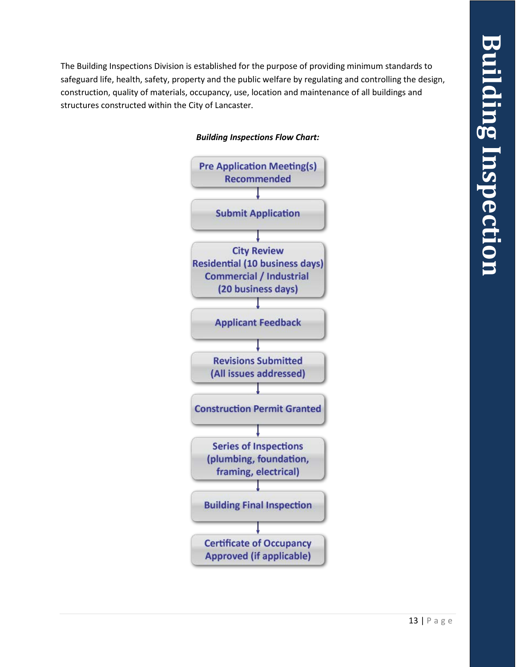**Building Inspection**uilding Inspectior

The Building Inspections Division is established for the purpose of providing minimum standards to safeguard life, health, safety, property and the public welfare by regulating and controlling the design, construction, quality of materials, occupancy, use, location and maintenance of all buildings and structures constructed within the City of Lancaster*.* 



### *Building Inspections Flow Chart:*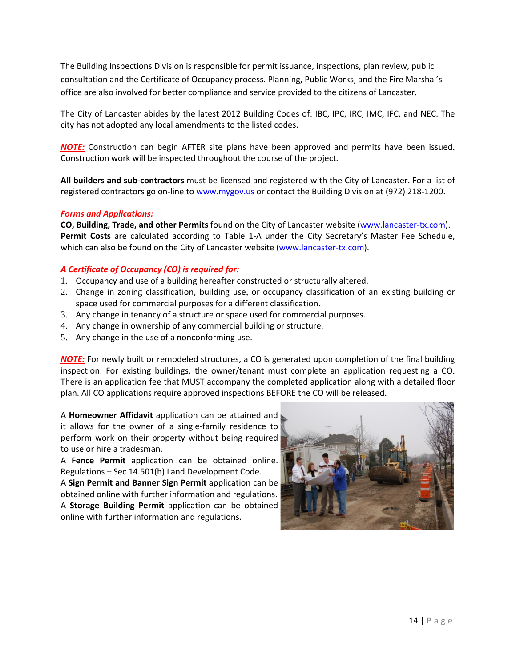The Building Inspections Division is responsible for permit issuance, inspections, plan review, public consultation and the Certificate of Occupancy process. Planning, Public Works, and the Fire Marshal's office are also involved for better compliance and service provided to the citizens of Lancaster*.* 

The City of Lancaster abides by the latest 2012 Building Codes of: IBC, IPC, IRC, IMC, IFC, and NEC. The city has not adopted any local amendments to the listed codes.

*NOTE:* Construction can begin AFTER site plans have been approved and permits have been issued. Construction work will be inspected throughout the course of the project.

**All builders and sub-contractors** must be licensed and registered with the City of Lancaster. For a list of registered contractors go on-line to [www.mygov.us](http://www.mygov.us/) or contact the Building Division at (972) 218-1200.

### *Forms and Applications:*

**CO, Building, Trade, and other Permits** found on the City of Lancaster website [\(www.lancaster-tx.com\)](http://www.lancaster-tx.com/). **Permit Costs** are calculated according to Table 1-A under the City Secretary's Master Fee Schedule, which can also be found on the City of Lancaster website [\(www.lancaster-tx.com\)](http://www.lancaster-tx.com/).

### *A Certificate of Occupancy (CO) is required for:*

- 1. Occupancy and use of a building hereafter constructed or structurally altered.
- 2. Change in zoning classification, building use, or occupancy classification of an existing building or space used for commercial purposes for a different classification.
- 3. Any change in tenancy of a structure or space used for commercial purposes.
- 4. Any change in ownership of any commercial building or structure.
- 5. Any change in the use of a nonconforming use.

*NOTE:* For newly built or remodeled structures, a CO is generated upon completion of the final building inspection. For existing buildings, the owner/tenant must complete an application requesting a CO. There is an application fee that MUST accompany the completed application along with a detailed floor plan. All CO applications require approved inspections BEFORE the CO will be released.

A **Homeowner Affidavit** application can be attained and it allows for the owner of a single-family residence to perform work on their property without being required to use or hire a tradesman.

A **Fence Permit** application can be obtained online. Regulations – Sec 14.501(h) Land Development Code.

A **Sign Permit and Banner Sign Permit** application can be obtained online with further information and regulations. A **Storage Building Permit** application can be obtained

online with further information and regulations.

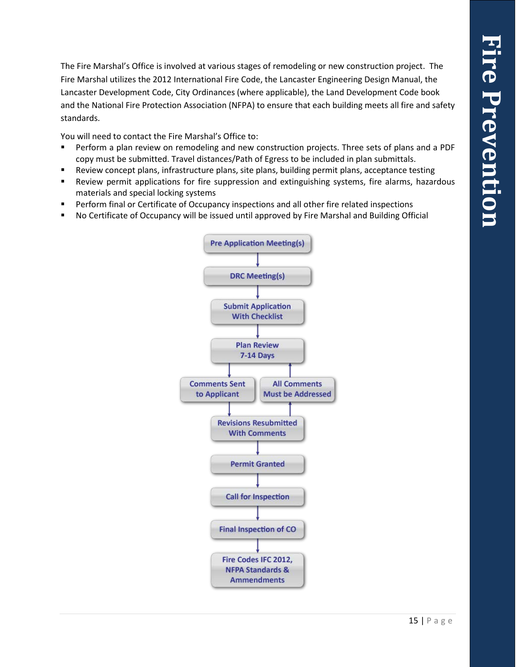The Fire Marshal's Office is involved at various stages of remodeling or new construction project. The Fire Marshal utilizes the 2012 International Fire Code, the Lancaster Engineering Design Manual, the Lancaster Development Code, City Ordinances (where applicable), the Land Development Code book and the National Fire Protection Association (NFPA) to ensure that each building meets all fire and safety standards.

You will need to contact the Fire Marshal's Office to:

- Perform a plan review on remodeling and new construction projects. Three sets of plans and a PDF copy must be submitted. Travel distances/Path of Egress to be included in plan submittals.
- Review concept plans, infrastructure plans, site plans, building permit plans, acceptance testing
- Review permit applications for fire suppression and extinguishing systems, fire alarms, hazardous materials and special locking systems
- Perform final or Certificate of Occupancy inspections and all other fire related inspections
- No Certificate of Occupancy will be issued until approved by Fire Marshal and Building Official

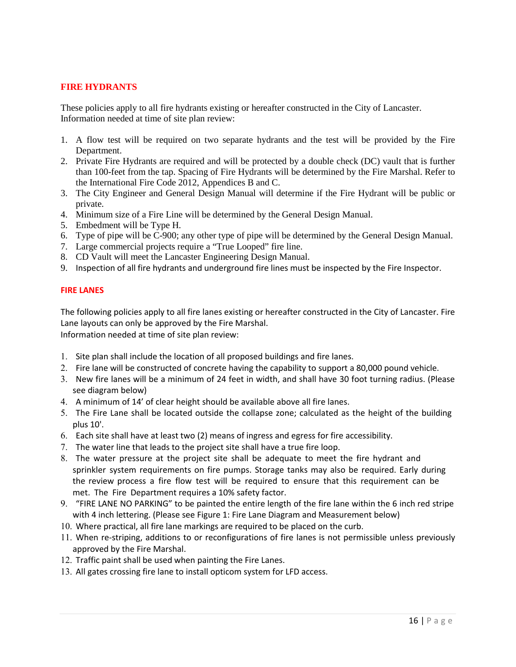### **FIRE HYDRANTS**

These policies apply to all fire hydrants existing or hereafter constructed in the City of Lancaster. Information needed at time of site plan review:

- 1. A flow test will be required on two separate hydrants and the test will be provided by the Fire Department.
- 2. Private Fire Hydrants are required and will be protected by a double check (DC) vault that is further than 100-feet from the tap. Spacing of Fire Hydrants will be determined by the Fire Marshal. Refer to the International Fire Code 2012, Appendices B and C.
- 3. The City Engineer and General Design Manual will determine if the Fire Hydrant will be public or private.
- 4. Minimum size of a Fire Line will be determined by the General Design Manual.
- 5. Embedment will be Type H.
- 6. Type of pipe will be C-900; any other type of pipe will be determined by the General Design Manual.
- 7. Large commercial projects require a "True Looped" fire line.
- 8. CD Vault will meet the Lancaster Engineering Design Manual.
- 9. Inspection of all fire hydrants and underground fire lines must be inspected by the Fire Inspector.

### **FIRE LANES**

The following policies apply to all fire lanes existing or hereafter constructed in the City of Lancaster. Fire Lane layouts can only be approved by the Fire Marshal.

Information needed at time of site plan review:

- 1. Site plan shall include the location of all proposed buildings and fire lanes.
- 2. Fire lane will be constructed of concrete having the capability to support a 80,000 pound vehicle.
- 3. New fire lanes will be a minimum of 24 feet in width, and shall have 30 foot turning radius. (Please see diagram below)
- 4. A minimum of 14' of clear height should be available above all fire lanes.
- 5. The Fire Lane shall be located outside the collapse zone; calculated as the height of the building plus 10'.
- 6. Each site shall have at least two (2) means of ingress and egress for fire accessibility.
- 7. The water line that leads to the project site shall have a true fire loop.
- 8. The water pressure at the project site shall be adequate to meet the fire hydrant and sprinkler system requirements on fire pumps. Storage tanks may also be required. Early during the review process a fire flow test will be required to ensure that this requirement can be met. The Fire Department requires a 10% safety factor.
- 9. "FIRE LANE NO PARKING" to be painted the entire length of the fire lane within the 6 inch red stripe with 4 inch lettering. (Please see Figure 1: Fire Lane Diagram and Measurement below)
- 10. Where practical, all fire lane markings are required to be placed on the curb.
- 11. When re-striping, additions to or reconfigurations of fire lanes is not permissible unless previously approved by the Fire Marshal.
- 12. Traffic paint shall be used when painting the Fire Lanes.
- 13. All gates crossing fire lane to install opticom system for LFD access.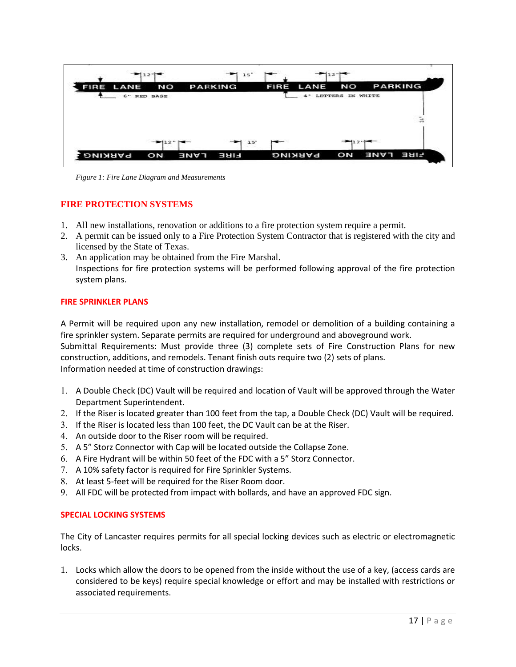| <b>FIRE LANE</b> | NO       | <b>PARKING</b> | LANE<br><b>FIRE</b> | NO                  | <b>PARKING</b> |
|------------------|----------|----------------|---------------------|---------------------|----------------|
| $6 -$            | RED BASE |                | $4 -$               | LETTERS<br>IN WHITE |                |
|                  |          |                |                     |                     |                |
|                  |          |                |                     |                     |                |
|                  |          |                |                     |                     | $\mathbb{R}$   |
|                  |          |                |                     |                     |                |

*Figure 1: Fire Lane Diagram and Measurements*

### **FIRE PROTECTION SYSTEMS**

- 1. All new installations, renovation or additions to a fire protection system require a permit.
- 2. A permit can be issued only to a Fire Protection System Contractor that is registered with the city and licensed by the State of Texas.
- 3. An application may be obtained from the Fire Marshal. Inspections for fire protection systems will be performed following approval of the fire protection system plans.

### **FIRE SPRINKLER PLANS**

A Permit will be required upon any new installation, remodel or demolition of a building containing a fire sprinkler system. Separate permits are required for underground and aboveground work. Submittal Requirements: Must provide three (3) complete sets of Fire Construction Plans for new construction, additions, and remodels. Tenant finish outs require two (2) sets of plans.

Information needed at time of construction drawings:

- 1. A Double Check (DC) Vault will be required and location of Vault will be approved through the Water Department Superintendent.
- 2. If the Riser is located greater than 100 feet from the tap, a Double Check (DC) Vault will be required.
- 3. If the Riser is located less than 100 feet, the DC Vault can be at the Riser.
- 4. An outside door to the Riser room will be required.
- 5. A 5" Storz Connector with Cap will be located outside the Collapse Zone.
- 6. A Fire Hydrant will be within 50 feet of the FDC with a 5" Storz Connector.
- 7. A 10% safety factor is required for Fire Sprinkler Systems.
- 8. At least 5-feet will be required for the Riser Room door.
- 9. All FDC will be protected from impact with bollards, and have an approved FDC sign.

### **SPECIAL LOCKING SYSTEMS**

The City of Lancaster requires permits for all special locking devices such as electric or electromagnetic locks.

1. Locks which allow the doors to be opened from the inside without the use of a key, (access cards are considered to be keys) require special knowledge or effort and may be installed with restrictions or associated requirements.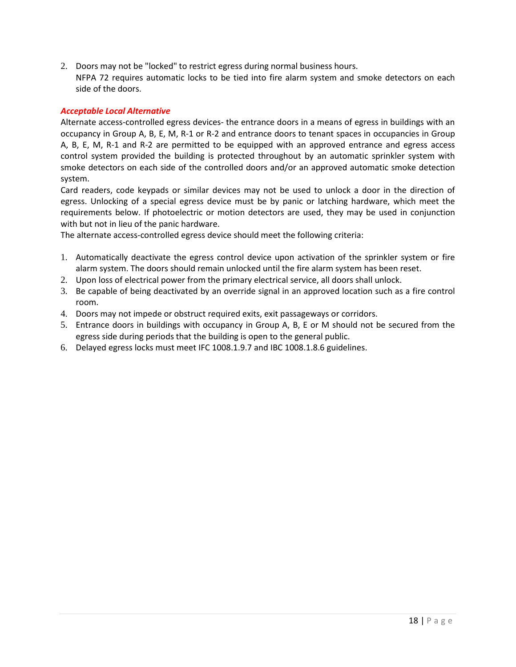2. Doors may not be "locked" to restrict egress during normal business hours. NFPA 72 requires automatic locks to be tied into fire alarm system and smoke detectors on each side of the doors.

### *Acceptable Local Alternative*

Alternate access-controlled egress devices- the entrance doors in a means of egress in buildings with an occupancy in Group A, B, E, M, R-1 or R-2 and entrance doors to tenant spaces in occupancies in Group A, B, E, M, R-1 and R-2 are permitted to be equipped with an approved entrance and egress access control system provided the building is protected throughout by an automatic sprinkler system with smoke detectors on each side of the controlled doors and/or an approved automatic smoke detection system.

Card readers, code keypads or similar devices may not be used to unlock a door in the direction of egress. Unlocking of a special egress device must be by panic or latching hardware, which meet the requirements below. If photoelectric or motion detectors are used, they may be used in conjunction with but not in lieu of the panic hardware.

The alternate access-controlled egress device should meet the following criteria:

- 1. Automatically deactivate the egress control device upon activation of the sprinkler system or fire alarm system. The doors should remain unlocked until the fire alarm system has been reset.
- 2. Upon loss of electrical power from the primary electrical service, all doors shall unlock.
- 3. Be capable of being deactivated by an override signal in an approved location such as a fire control room.
- 4. Doors may not impede or obstruct required exits, exit passageways or corridors.
- 5. Entrance doors in buildings with occupancy in Group A, B, E or M should not be secured from the egress side during periods that the building is open to the general public.
- 6. Delayed egress locks must meet IFC 1008.1.9.7 and IBC 1008.1.8.6 guidelines.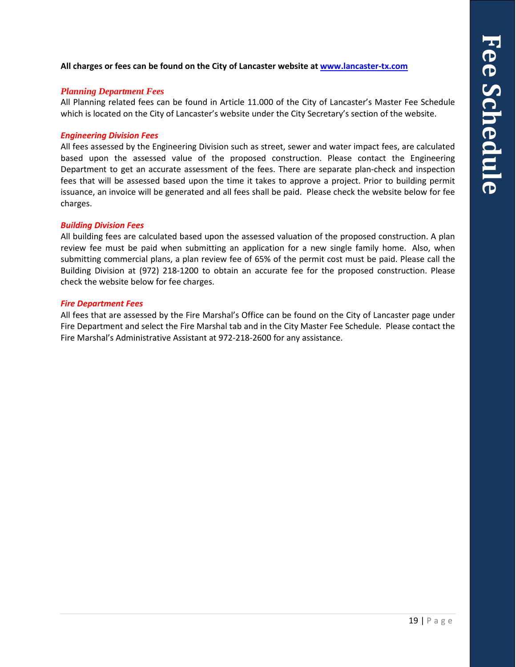**All charges or fees can be found on the City of Lancaster website at [www.lancaster-tx.com](http://www.lancaster-tx.com/images/stories/City_Secretary/masterfeeschedule100108.pdf)**

### *Planning Department Fees*

All Planning related fees can be found in Article 11.000 of the City of Lancaster's Master Fee Schedule which is located on the City of Lancaster's website under the City Secretary's section of the website.

### *Engineering Division Fees*

All fees assessed by the Engineering Division such as street, sewer and water impact fees, are calculated based upon the assessed value of the proposed construction. Please contact the Engineering Department to get an accurate assessment of the fees. There are separate plan-check and inspection fees that will be assessed based upon the time it takes to approve a project. Prior to building permit issuance, an invoice will be generated and all fees shall be paid. Please check the website below for fee charges.

### *Building Division Fees*

All building fees are calculated based upon the assessed valuation of the proposed construction. A plan review fee must be paid when submitting an application for a new single family home. Also, when submitting commercial plans, a plan review fee of 65% of the permit cost must be paid. Please call the Building Division at (972) 218-1200 to obtain an accurate fee for the proposed construction. Please check the website below for fee charges.

### *Fire Department Fees*

All fees that are assessed by the Fire Marshal's Office can be found on the City of Lancaster page under Fire Department and select the Fire Marshal tab and in the City Master Fee Schedule. Please contact the Fire Marshal's Administrative Assistant at 972-218-2600 for any assistance.